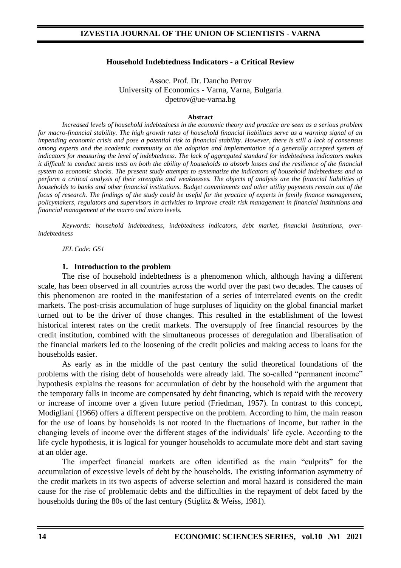#### **Household Indebtedness Indicators - a Critical Review**

Assoc. Prof. Dr. Dancho Petrov University of Economics - Varna, Varna, Bulgaria dpetrov@ue-varna.bg

#### **Abstract**

*Increased levels of household indebtedness in the economic theory and practice are seen as a serious problem for macro-financial stability. The high growth rates of household financial liabilities serve as a warning signal of an impending economic crisis and pose a potential risk to financial stability. However, there is still a lack of consensus among experts and the academic community on the adoption and implementation of a generally accepted system of indicators for measuring the level of indebtedness. The lack of aggregated standard for indebtedness indicators makes it difficult to conduct stress tests on both the ability of households to absorb losses and the resilience of the financial system to economic shocks. The present study attempts to systematize the indicators of household indebtedness and to perform a critical analysis of their strengths and weaknesses. The objects of analysis are the financial liabilities of households to banks and other financial institutions. Budget commitments and other utility payments remain out of the focus of research. The findings of the study could be useful for the practice of experts in family finance management, policymakers, regulators and supervisors in activities to improve credit risk management in financial institutions and financial management at the macro and micro levels.*

*Keywords: household indebtedness, indebtedness indicators, debt market, financial institutions, overindebtedness*

*JEL Code: G51*

#### **1. Introduction to the problem**

The rise of household indebtedness is a phenomenon which, although having a different scale, has been observed in all countries across the world over the past two decades. The causes of this phenomenon are rooted in the manifestation of a series of interrelated events on the credit markets. The post-crisis accumulation of huge surpluses of liquidity on the global financial market turned out to be the driver of those changes. This resulted in the establishment of the lowest historical interest rates on the credit markets. The oversupply of free financial resources by the credit institution, combined with the simultaneous processes of deregulation and liberalisation of the financial markets led to the loosening of the credit policies and making access to loans for the households easier.

As early as in the middle of the past century the solid theoretical foundations of the problems with the rising debt of households were already laid. The so-called "permanent income" hypothesis explains the reasons for accumulation of debt by the household with the argument that the temporary falls in income are compensated by debt financing, which is repaid with the recovery or increase of income over a given future period (Friedman, 1957). In contrast to this concept, Modigliani (1966) offers a different perspective on the problem. According to him, the main reason for the use of loans by households is not rooted in the fluctuations of income, but rather in the changing levels of income over the different stages of the individuals' life cycle. According to the life cycle hypothesis, it is logical for younger households to accumulate more debt and start saving at an older age.

The imperfect financial markets are often identified as the main "culprits" for the accumulation of excessive levels of debt by the households. The existing information asymmetry of the credit markets in its two aspects of adverse selection and moral hazard is considered the main cause for the rise of problematic debts and the difficulties in the repayment of debt faced by the households during the 80s of the last century (Stiglitz & Weiss, 1981).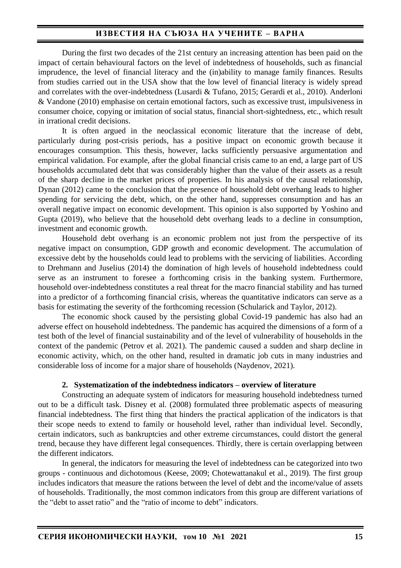During the first two decades of the 21st century an increasing attention has been paid on the impact of certain behavioural factors on the level of indebtedness of households, such as financial imprudence, the level of financial literacy and the (in)ability to manage family finances. Results from studies carried out in the USA show that the low level of financial literacy is widely spread and correlates with the over-indebtedness (Lusardi & Tufano, 2015; Gerardi et al., 2010). Anderloni & Vandone (2010) emphasise on certain emotional factors, such as excessive trust, impulsiveness in consumer choice, copying or imitation of social status, financial short-sightedness, etc., which result in irrational credit decisions.

It is often argued in the neoclassical economic literature that the increase of debt, particularly during post-crisis periods, has a positive impact on economic growth because it encourages consumption. This thesis, however, lacks sufficiently persuasive argumentation and empirical validation. For example, after the global financial crisis came to an end, a large part of US households accumulated debt that was considerably higher than the value of their assets as a result of the sharp decline in the market prices of properties. In his analysis of the causal relationship, Dynan (2012) came to the conclusion that the presence of household debt overhang leads to higher spending for servicing the debt, which, on the other hand, suppresses consumption and has an overall negative impact on economic development. This opinion is also supported by Yoshino and Gupta (2019), who believe that the household debt overhang leads to a decline in consumption, investment and economic growth.

Household debt overhang is an economic problem not just from the perspective of its negative impact on consumption, GDP growth and economic development. The accumulation of excessive debt by the households could lead to problems with the servicing of liabilities. According to Drehmann and Juselius (2014) the domination of high levels of household indebtedness could serve as an instrument to foresee a forthcoming crisis in the banking system. Furthermore, household over-indebtedness constitutes a real threat for the macro financial stability and has turned into a predictor of a forthcoming financial crisis, whereas the quantitative indicators can serve as a basis for estimating the severity of the forthcoming recession (Schularick and Taylor, 2012).

The economic shock caused by the persisting global Covid-19 pandemic has also had an adverse effect on household indebtedness. The pandemic has acquired the dimensions of a form of a test both of the level of financial sustainability and of the level of vulnerability of households in the context of the pandemic (Petrov et al. 2021). The pandemic caused a sudden and sharp decline in economic activity, which, on the other hand, resulted in dramatic job cuts in many industries and considerable loss of income for a major share of households (Naydenov, 2021).

#### **2. Systematization of the indebtedness indicators – overview of literature**

Constructing an adequate system of indicators for measuring household indebtedness turned out to be a difficult task. Disney et al. (2008) formulated three problematic aspects of measuring financial indebtedness. The first thing that hinders the practical application of the indicators is that their scope needs to extend to family or household level, rather than individual level. Secondly, certain indicators, such as bankruptcies and other extreme circumstances, could distort the general trend, because they have different legal consequences. Thirdly, there is certain overlapping between the different indicators.

In general, the indicators for measuring the level of indebtedness can be categorized into two groups - continuous and dichotomous (Keese, 2009; Chotewattanakul et al., 2019). The first group includes indicators that measure the rations between the level of debt and the income/value of assets of households. Traditionally, the most common indicators from this group are different variations of the "debt to asset ratio" and the "ratio of income to debt" indicators.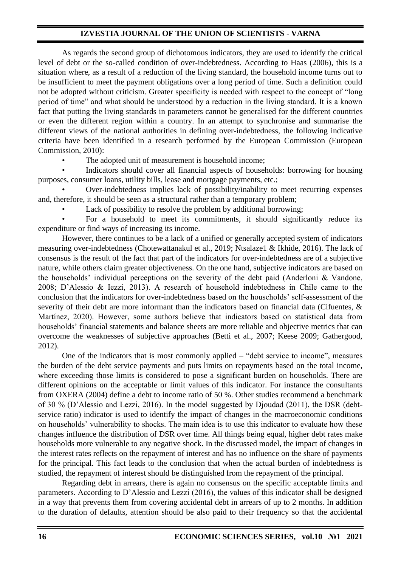As regards the second group of dichotomous indicators, they are used to identify the critical level of debt or the so-called condition of over-indebtedness. According to Haas (2006), this is a situation where, as a result of a reduction of the living standard, the household income turns out to be insufficient to meet the payment obligations over a long period of time. Such a definition could not be adopted without criticism. Greater specificity is needed with respect to the concept of "long period of time" and what should be understood by a reduction in the living standard. It is a known fact that putting the living standards in parameters cannot be generalised for the different countries or even the different region within a country. In an attempt to synchronise and summarise the different views of the national authorities in defining over-indebtedness, the following indicative criteria have been identified in a research performed by the European Commission (European Commission, 2010):

The adopted unit of measurement is household income;

• Indicators should cover all financial aspects of households: borrowing for housing purposes, consumer loans, utility bills, lease and mortgage payments, etc.;

• Over-indebtedness implies lack of possibility/inability to meet recurring expenses and, therefore, it should be seen as a structural rather than a temporary problem;

Lack of possibility to resolve the problem by additional borrowing;

• For a household to meet its commitments, it should significantly reduce its expenditure or find ways of increasing its income.

However, there continues to be a lack of a unified or generally accepted system of indicators measuring over-indebtedness (Chotewattanakul et al., 2019; Ntsalaze1 & Ikhide, 2016). The lack of consensus is the result of the fact that part of the indicators for over-indebtedness are of a subjective nature, while others claim greater objectiveness. On the one hand, subjective indicators are based on the households' individual perceptions on the severity of the debt paid (Anderloni & Vandone, 2008; D'Alessio & Iezzi, 2013). A research of household indebtedness in Chile came to the conclusion that the indicators for over-indebtedness based on the households' self-assessment of the severity of their debt are more informant than the indicators based on financial data (Cifuentes, & Martínez, 2020). However, some authors believe that indicators based on statistical data from households' financial statements and balance sheets are more reliable and objective metrics that can overcome the weaknesses of subjective approaches (Betti et al., 2007; Keese 2009; Gathergood, 2012).

One of the indicators that is most commonly applied – "debt service to income", measures the burden of the debt service payments and puts limits on repayments based on the total income, where exceeding those limits is considered to pose a significant burden on households. There are different opinions on the acceptable or limit values of this indicator. For instance the consultants from OXERA (2004) define a debt to income ratio of 50 %. Other studies recommend a benchmark of 30 % (D'Alessio and Lezzi, 2016). In the model suggested by Djoudad (2011), the DSR (debtservice ratio) indicator is used to identify the impact of changes in the macroeconomic conditions on households' vulnerability to shocks. The main idea is to use this indicator to evaluate how these changes influence the distribution of DSR over time. All things being equal, higher debt rates make households more vulnerable to any negative shock. In the discussed model, the impact of changes in the interest rates reflects on the repayment of interest and has no influence on the share of payments for the principal. This fact leads to the conclusion that when the actual burden of indebtedness is studied, the repayment of interest should be distinguished from the repayment of the principal.

Regarding debt in arrears, there is again no consensus on the specific acceptable limits and parameters. According to D'Alessio and Lezzi (2016), the values of this indicator shall be designed in a way that prevents them from covering accidental debt in arrears of up to 2 months. In addition to the duration of defaults, attention should be also paid to their frequency so that the accidental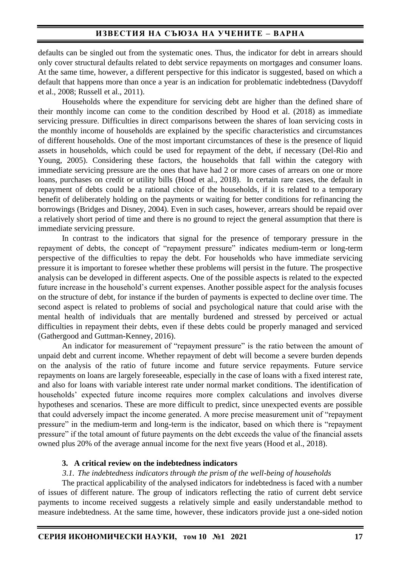defaults can be singled out from the systematic ones. Thus, the indicator for debt in arrears should only cover structural defaults related to debt service repayments on mortgages and consumer loans. At the same time, however, a different perspective for this indicator is suggested, based on which a default that happens more than once a year is an indication for problematic indebtedness (Davydoff et al., 2008; Russell et al., 2011).

Households where the expenditure for servicing debt are higher than the defined share of their monthly income can come to the condition described by Hood et al. (2018) as immediate servicing pressure. Difficulties in direct comparisons between the shares of loan servicing costs in the monthly income of households are explained by the specific characteristics and circumstances of different households. One of the most important circumstances of these is the presence of liquid assets in households, which could be used for repayment of the debt, if necessary (Del-Rio and Young, 2005). Considering these factors, the households that fall within the category with immediate servicing pressure are the ones that have had 2 or more cases of arrears on one or more loans, purchases on credit or utility bills (Hood et al., 2018). In certain rare cases, the default in repayment of debts could be a rational choice of the households, if it is related to a temporary benefit of deliberately holding on the payments or waiting for better conditions for refinancing the borrowings (Bridges and Disney, 2004). Even in such cases, however, arrears should be repaid over a relatively short period of time and there is no ground to reject the general assumption that there is immediate servicing pressure.

In contrast to the indicators that signal for the presence of temporary pressure in the repayment of debts, the concept of "repayment pressure" indicates medium-term or long-term perspective of the difficulties to repay the debt. For households who have immediate servicing pressure it is important to foresee whether these problems will persist in the future. The prospective analysis can be developed in different aspects. One of the possible aspects is related to the expected future increase in the household's current expenses. Another possible aspect for the analysis focuses on the structure of debt, for instance if the burden of payments is expected to decline over time. The second aspect is related to problems of social and psychological nature that could arise with the mental health of individuals that are mentally burdened and stressed by perceived or actual difficulties in repayment their debts, even if these debts could be properly managed and serviced (Gathergood and Guttman-Kenney, 2016).

An indicator for measurement of "repayment pressure" is the ratio between the amount of unpaid debt and current income. Whether repayment of debt will become a severe burden depends on the analysis of the ratio of future income and future service repayments. Future service repayments on loans are largely foreseeable, especially in the case of loans with a fixed interest rate, and also for loans with variable interest rate under normal market conditions. The identification of households' expected future income requires more complex calculations and involves diverse hypotheses and scenarios. These are more difficult to predict, since unexpected events are possible that could adversely impact the income generated. A more precise measurement unit of "repayment pressure" in the medium-term and long-term is the indicator, based on which there is "repayment pressure" if the total amount of future payments on the debt exceeds the value of the financial assets owned plus 20% of the average annual income for the next five years (Hood et al., 2018).

#### **3. A critical review on the indebtedness indicators**

#### *3.1. The indebtedness indicators through the prism of the well-being of households*

The practical applicability of the analysed indicators for indebtedness is faced with a number of issues of different nature. The group of indicators reflecting the ratio of current debt service payments to income received suggests a relatively simple and easily understandable method to measure indebtedness. At the same time, however, these indicators provide just a one-sided notion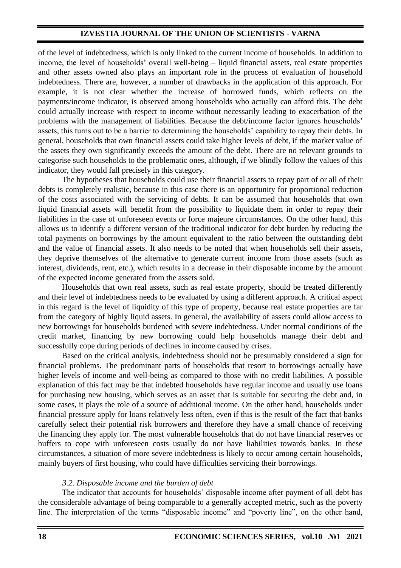of the level of indebtedness, which is only linked to the current income of households. In addition to income, the level of households' overall well-being – liquid financial assets, real estate properties and other assets owned also plays an important role in the process of evaluation of household indebtedness. There are, however, a number of drawbacks in the application of this approach. For example, it is not clear whether the increase of borrowed funds, which reflects on the payments/income indicator, is observed among households who actually can afford this. The debt could actually increase with respect to income without necessarily leading to exacerbation of the problems with the management of liabilities. Because the debt/income factor ignores households' assets, this turns out to be a barrier to determining the households' capability to repay their debts. In general, households that own financial assets could take higher levels of debt, if the market value of the assets they own significantly exceeds the amount of the debt. There are no relevant grounds to categorise such households to the problematic ones, although, if we blindly follow the values of this indicator, they would fall precisely in this category.

The hypotheses that households could use their financial assets to repay part of or all of their debts is completely realistic, because in this case there is an opportunity for proportional reduction of the costs associated with the servicing of debts. It can be assumed that households that own liquid financial assets will benefit from the possibility to liquidate them in order to repay their liabilities in the case of unforeseen events or force majeure circumstances. On the other hand, this allows us to identify a different version of the traditional indicator for debt burden by reducing the total payments on borrowings by the amount equivalent to the ratio between the outstanding debt and the value of financial assets. It also needs to be noted that when households sell their assets, they deprive themselves of the alternative to generate current income from those assets (such as interest, dividends, rent, etc.), which results in a decrease in their disposable income by the amount of the expected income generated from the assets sold.

Households that own real assets, such as real estate property, should be treated differently and their level of indebtedness needs to be evaluated by using a different approach. A critical aspect in this regard is the level of liquidity of this type of property, because real estate properties are far from the category of highly liquid assets. In general, the availability of assets could allow access to new borrowings for households burdened with severe indebtedness. Under normal conditions of the credit market, financing by new borrowing could help households manage their debt and successfully cope during periods of declines in income caused by crises.

Based on the critical analysis, indebtedness should not be presumably considered a sign for financial problems. The predominant parts of households that resort to borrowings actually have higher levels of income and well-being as compared to those with no credit liabilities. A possible explanation of this fact may be that indebted households have regular income and usually use loans for purchasing new housing, which serves as an asset that is suitable for securing the debt and, in some cases, it plays the role of a source of additional income. On the other hand, households under financial pressure apply for loans relatively less often, even if this is the result of the fact that banks carefully select their potential risk borrowers and therefore they have a small chance of receiving the financing they apply for. The most vulnerable households that do not have financial reserves or buffers to cope with unforeseen costs usually do not have liabilities towards banks. In these circumstances, a situation of more severe indebtedness is likely to occur among certain households, mainly buyers of first housing, who could have difficulties servicing their borrowings.

## *3.2. Disposable income and the burden of debt*

The indicator that accounts for households' disposable income after payment of all debt has the considerable advantage of being comparable to a generally accepted metric, such as the poverty line. The interpretation of the terms "disposable income" and "poverty line", on the other hand,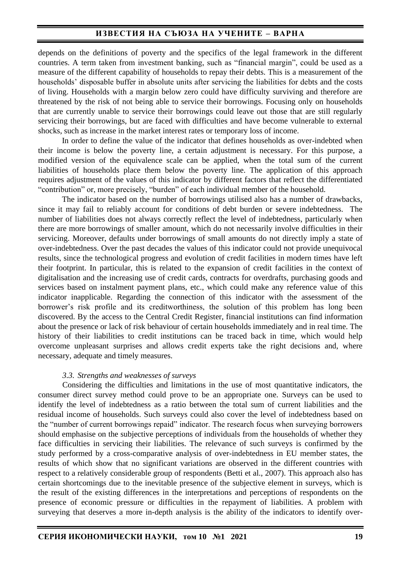depends on the definitions of poverty and the specifics of the legal framework in the different countries. A term taken from investment banking, such as "financial margin", could be used as a measure of the different capability of households to repay their debts. This is a measurement of the households' disposable buffer in absolute units after servicing the liabilities for debts and the costs of living. Households with a margin below zero could have difficulty surviving and therefore are threatened by the risk of not being able to service their borrowings. Focusing only on households that are currently unable to service their borrowings could leave out those that are still regularly servicing their borrowings, but are faced with difficulties and have become vulnerable to external shocks, such as increase in the market interest rates or temporary loss of income.

In order to define the value of the indicator that defines households as over-indebted when their income is below the poverty line, a certain adjustment is necessary. For this purpose, a modified version of the equivalence scale can be applied, when the total sum of the current liabilities of households place them below the poverty line. The application of this approach requires adjustment of the values of this indicator by different factors that reflect the differentiated "contribution" or, more precisely, "burden" of each individual member of the household.

The indicator based on the number of borrowings utilised also has a number of drawbacks, since it may fail to reliably account for conditions of debt burden or severe indebtedness. The number of liabilities does not always correctly reflect the level of indebtedness, particularly when there are more borrowings of smaller amount, which do not necessarily involve difficulties in their servicing. Moreover, defaults under borrowings of small amounts do not directly imply a state of over-indebtedness. Over the past decades the values of this indicator could not provide unequivocal results, since the technological progress and evolution of credit facilities in modern times have left their footprint. In particular, this is related to the expansion of credit facilities in the context of digitalisation and the increasing use of credit cards, contracts for overdrafts, purchasing goods and services based on instalment payment plans, etc., which could make any reference value of this indicator inapplicable. Regarding the connection of this indicator with the assessment of the borrower's risk profile and its creditworthiness, the solution of this problem has long been discovered. By the access to the Central Credit Register, financial institutions can find information about the presence or lack of risk behaviour of certain households immediately and in real time. The history of their liabilities to credit institutions can be traced back in time, which would help overcome unpleasant surprises and allows credit experts take the right decisions and, where necessary, adequate and timely measures.

## *3.3. Strengths and weaknesses of surveys*

Considering the difficulties and limitations in the use of most quantitative indicators, the consumer direct survey method could prove to be an appropriate one. Surveys can be used to identify the level of indebtedness as a ratio between the total sum of current liabilities and the residual income of households. Such surveys could also cover the level of indebtedness based on the "number of current borrowings repaid" indicator. The research focus when surveying borrowers should emphasise on the subjective perceptions of individuals from the households of whether they face difficulties in servicing their liabilities. The relevance of such surveys is confirmed by the study performed by a cross-comparative analysis of over-indebtedness in EU member states, the results of which show that no significant variations are observed in the different countries with respect to a relatively considerable group of respondents (Betti et al., 2007). This approach also has certain shortcomings due to the inevitable presence of the subjective element in surveys, which is the result of the existing differences in the interpretations and perceptions of respondents on the presence of economic pressure or difficulties in the repayment of liabilities. A problem with surveying that deserves a more in-depth analysis is the ability of the indicators to identify over-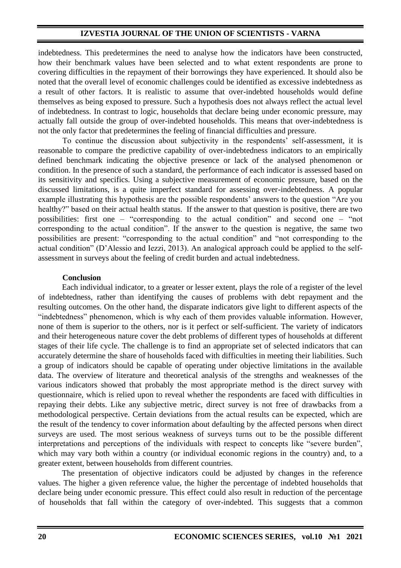indebtedness. This predetermines the need to analyse how the indicators have been constructed, how their benchmark values have been selected and to what extent respondents are prone to covering difficulties in the repayment of their borrowings they have experienced. It should also be noted that the overall level of economic challenges could be identified as excessive indebtedness as a result of other factors. It is realistic to assume that over-indebted households would define themselves as being exposed to pressure. Such a hypothesis does not always reflect the actual level of indebtedness. In contrast to logic, households that declare being under economic pressure, may actually fall outside the group of over-indebted households. This means that over-indebtedness is not the only factor that predetermines the feeling of financial difficulties and pressure.

To continue the discussion about subjectivity in the respondents' self-assessment, it is reasonable to compare the predictive capability of over-indebtedness indicators to an empirically defined benchmark indicating the objective presence or lack of the analysed phenomenon or condition. In the presence of such a standard, the performance of each indicator is assessed based on its sensitivity and specifics. Using a subjective measurement of economic pressure, based on the discussed limitations, is a quite imperfect standard for assessing over-indebtedness. A popular example illustrating this hypothesis are the possible respondents' answers to the question "Are you healthy?" based on their actual health status. If the answer to that question is positive, there are two possibilities: first one – "corresponding to the actual condition" and second one – "not corresponding to the actual condition". If the answer to the question is negative, the same two possibilities are present: "corresponding to the actual condition" and "not corresponding to the actual condition" (D'Alessio and Iezzi, 2013). An analogical approach could be applied to the selfassessment in surveys about the feeling of credit burden and actual indebtedness.

### **Conclusion**

Each individual indicator, to a greater or lesser extent, plays the role of a register of the level of indebtedness, rather than identifying the causes of problems with debt repayment and the resulting outcomes. On the other hand, the disparate indicators give light to different aspects of the "indebtedness" phenomenon, which is why each of them provides valuable information. However, none of them is superior to the others, nor is it perfect or self-sufficient. The variety of indicators and their heterogeneous nature cover the debt problems of different types of households at different stages of their life cycle. The challenge is to find an appropriate set of selected indicators that can accurately determine the share of households faced with difficulties in meeting their liabilities. Such a group of indicators should be capable of operating under objective limitations in the available data. The overview of literature and theoretical analysis of the strengths and weaknesses of the various indicators showed that probably the most appropriate method is the direct survey with questionnaire, which is relied upon to reveal whether the respondents are faced with difficulties in repaying their debts. Like any subjective metric, direct survey is not free of drawbacks from a methodological perspective. Certain deviations from the actual results can be expected, which are the result of the tendency to cover information about defaulting by the affected persons when direct surveys are used. The most serious weakness of surveys turns out to be the possible different interpretations and perceptions of the individuals with respect to concepts like "severe burden", which may vary both within a country (or individual economic regions in the country) and, to a greater extent, between households from different countries.

The presentation of objective indicators could be adjusted by changes in the reference values. The higher a given reference value, the higher the percentage of indebted households that declare being under economic pressure. This effect could also result in reduction of the percentage of households that fall within the category of over-indebted. This suggests that a common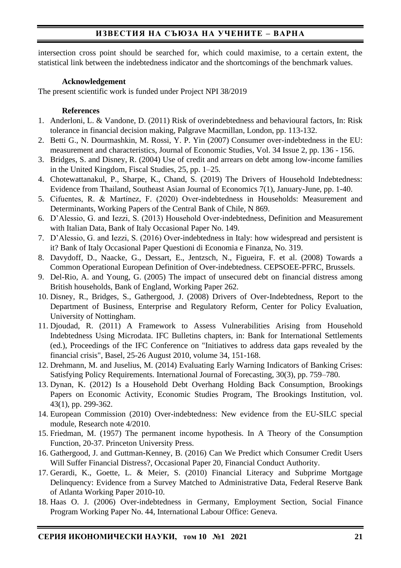intersection cross point should be searched for, which could maximise, to a certain extent, the statistical link between the indebtedness indicator and the shortcomings of the benchmark values.

### **Acknowledgement**

The present scientific work is funded under Project NPI 38/2019

### **References**

- 1. Anderloni, L. & Vandone, D. (2011) Risk of overindebtedness and behavioural factors, In: Risk tolerance in financial decision making, Palgrave Macmillan, London, pp. 113-132.
- 2. Betti G., N. Dourmashkin, M. Rossi, Y. P. Yin (2007) Consumer over-indebtedness in the EU: measurement and characteristics, Journal of Economic Studies, Vol. 34 Issue 2, pp. 136 - 156.
- 3. Bridges, S. and Disney, R. (2004) Use of credit and arrears on debt among low-income families in the United Kingdom, Fiscal Studies, 25, pp. 1–25.
- 4. Chotewattanakul, P., Sharpe, K., Chand, S. (2019) The Drivers of Household Indebtedness: Evidence from Thailand, Southeast Asian Journal of Economics 7(1), January-June, pp. 1-40.
- 5. Cifuentes, R. & Martínez, F. (2020) Over-indebtedness in Households: Measurement and Determinants, Working Papers of the Central Bank of Chile, N 869.
- 6. D'Alessio, G. and Iezzi, S. (2013) Household Over-indebtedness, Definition and Measurement with Italian Data, Bank of Italy Occasional Paper No. 149.
- 7. D'Alessio, G. and Iezzi, S. (2016) Over-indebtedness in Italy: how widespread and persistent is it? Bank of Italy Occasional Paper Questioni di Economia e Finanza, No. 319.
- 8. Davydoff, D., Naacke, G., Dessart, E., Jentzsch, N., Figueira, F. et al. (2008) Towards a Common Operational European Definition of Over-indebtedness. CEPSOEE-PFRC, Brussels.
- 9. Del-Rio, A. and Young, G. (2005) The impact of unsecured debt on financial distress among British households, Bank of England, Working Paper 262.
- 10. Disney, R., Bridges, S., Gathergood, J. (2008) Drivers of Over-Indebtedness, Report to the Department of Business, Enterprise and Regulatory Reform, Center for Policy Evaluation, University of Nottingham.
- 11. Djoudad, R. (2011) A Framework to Assess Vulnerabilities Arising from Household Indebtedness Using Microdata. IFC Bulletins chapters, in: Bank for International Settlements (ed.), Proceedings of the IFC Conference on "Initiatives to address data gaps revealed by the financial crisis", Basel, 25-26 August 2010, volume 34, 151-168.
- 12. Drehmann, M. and Juselius, M. (2014) Evaluating Early Warning Indicators of Banking Crises: Satisfying Policy Requirements. International Journal of Forecasting, 30(3), pp. 759–780.
- 13. Dynan, K. (2012) Is a Household Debt Overhang Holding Back Consumption, Brookings Papers on Economic Activity, Economic Studies Program, The Brookings Institution, vol. 43(1), pp. 299-362.
- 14. European Commission (2010) Over-indebtedness: New evidence from the EU-SILC special module, Research note 4/2010.
- 15. Friedman, M. (1957) The permanent income hypothesis. In A Theory of the Consumption Function, 20-37. Princeton University Press.
- 16. Gathergood, J. and Guttman-Kenney, B. (2016) Can We Predict which Consumer Credit Users Will Suffer Financial Distress?, Occasional Paper 20, Financial Conduct Authority.
- 17. Gerardi, K., Goette, L. & Meier, S. (2010) Financial Literacy and Subprime Mortgage Delinquency: Evidence from a Survey Matched to Administrative Data, Federal Reserve Bank of Atlanta Working Paper 2010-10.
- 18. Haas O. J. (2006) Over-indebtedness in Germany, Employment Section, Social Finance Program Working Paper No. 44, International Labour Office: Geneva.